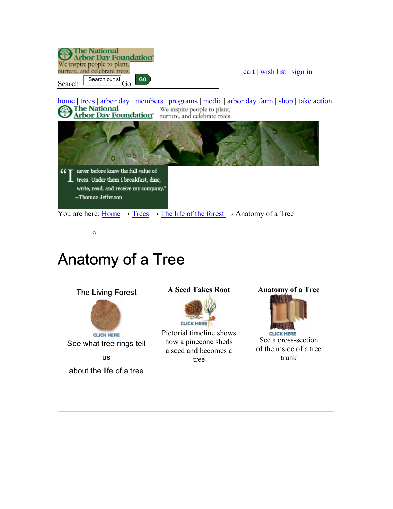

## Anatomy of a Tree

o

**The National** 



## **A Seed Takes Root**



Pictorial timeline shows how a pinecone sheds a seed and becomes a tree

**Anatomy of a Tree**



**CLICK HERE** See a cross-section of the inside of a tree trunk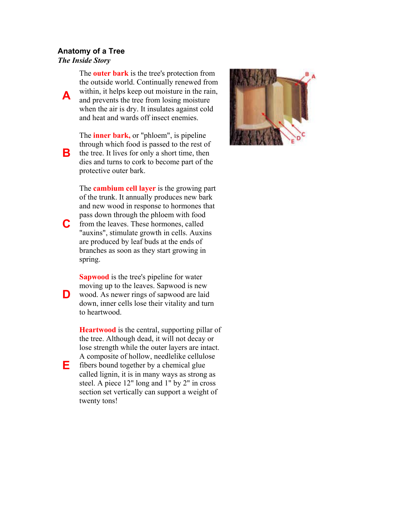## **Anatomy of a Tree** *The Inside Story*

**A** 

**C**

**E**

The **outer bark** is the tree's protection from the outside world. Continually renewed from within, it helps keep out moisture in the rain, and prevents the tree from losing moisture when the air is dry. It insulates against cold and heat and wards off insect enemies.

**B** The **inner bark,** or "phloem", is pipeline through which food is passed to the rest of the tree. It lives for only a short time, then dies and turns to cork to become part of the protective outer bark.

The **cambium cell layer** is the growing part of the trunk. It annually produces new bark and new wood in response to hormones that pass down through the phloem with food from the leaves. These hormones, called "auxins", stimulate growth in cells. Auxins are produced by leaf buds at the ends of branches as soon as they start growing in spring.

**D Sapwood** is the tree's pipeline for water moving up to the leaves. Sapwood is new wood. As newer rings of sapwood are laid down, inner cells lose their vitality and turn to heartwood.

**Heartwood** is the central, supporting pillar of the tree. Although dead, it will not decay or lose strength while the outer layers are intact. A composite of hollow, needlelike cellulose fibers bound together by a chemical glue called lignin, it is in many ways as strong as steel. A piece 12" long and 1" by 2" in cross section set vertically can support a weight of twenty tons!